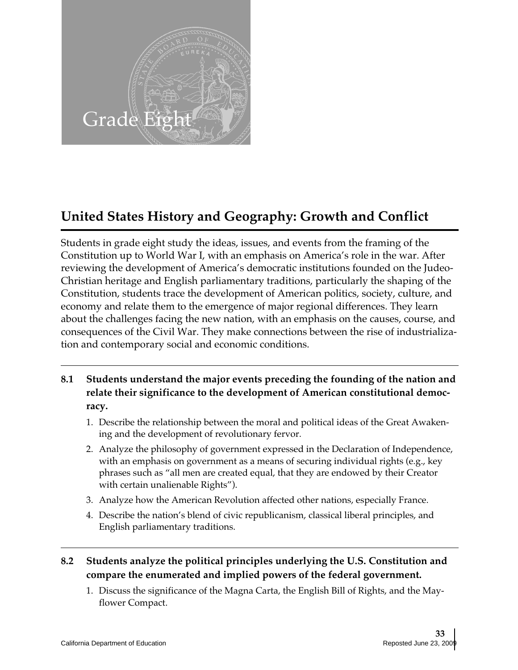

# **United States History and Geography: Growth and Conflict**

Students in grade eight study the ideas, issues, and events from the framing of the Constitution up to World War I, with an emphasis on America's role in the war. After reviewing the development of America's democratic institutions founded on the Judeo-Christian heritage and English parliamentary traditions, particularly the shaping of the Constitution, students trace the development of American politics, society, culture, and economy and relate them to the emergence of major regional differences. They learn about the challenges facing the new nation, with an emphasis on the causes, course, and consequences of the Civil War. They make connections between the rise of industrialization and contemporary social and economic conditions.

- **8.1 Students understand the major events preceding the founding of the nation and relate their significance to the development of American constitutional democracy.** 
	- 1. Describe the relationship between the moral and political ideas of the Great Awakening and the development of revolutionary fervor.
	- 2. Analyze the philosophy of government expressed in the Declaration of Independence, with an emphasis on government as a means of securing individual rights (e.g., key phrases such as "all men are created equal, that they are endowed by their Creator with certain unalienable Rights").
	- 3. Analyze how the American Revolution affected other nations, especially France.
	- 4. Describe the nation's blend of civic republicanism, classical liberal principles, and English parliamentary traditions.

# **8.2 Students analyze the political principles underlying the U.S. Constitution and compare the enumerated and implied powers of the federal government.**

1. Discuss the significance of the Magna Carta, the English Bill of Rights, and the Mayflower Compact.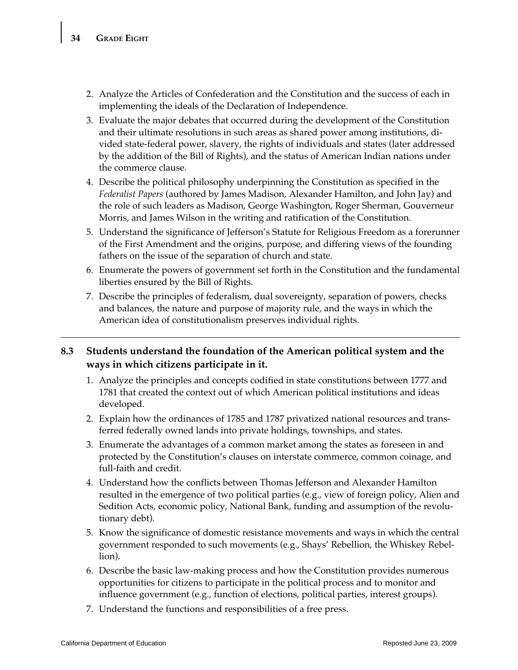- 2. Analyze the Articles of Confederation and the Constitution and the success of each in implementing the ideals of the Declaration of Independence.
- 3. Evaluate the major debates that occurred during the development of the Constitution and their ultimate resolutions in such areas as shared power among institutions, divided state-federal power, slavery, the rights of individuals and states (later addressed by the addition of the Bill of Rights), and the status of American Indian nations under the commerce clause.
- 4. Describe the political philosophy underpinning the Constitution as specified in the *Federalist Papers* (authored by James Madison, Alexander Hamilton, and John Jay) and the role of such leaders as Madison, George Washington, Roger Sherman, Gouverneur Morris, and James Wilson in the writing and ratification of the Constitution.
- 5. Understand the significance of Jefferson's Statute for Religious Freedom as a forerunner of the First Amendment and the origins, purpose, and differing views of the founding fathers on the issue of the separation of church and state.
- 6. Enumerate the powers of government set forth in the Constitution and the fundamental liberties ensured by the Bill of Rights.
- 7. Describe the principles of federalism, dual sovereignty, separation of powers, checks and balances, the nature and purpose of majority rule, and the ways in which the American idea of constitutionalism preserves individual rights.

## **8.3 Students understand the foundation of the American political system and the ways in which citizens participate in it.**

- 1. Analyze the principles and concepts codified in state constitutions between 1777 and 1781 that created the context out of which American political institutions and ideas developed.
- 2. Explain how the ordinances of 1785 and 1787 privatized national resources and transferred federally owned lands into private holdings, townships, and states.
- 3. Enumerate the advantages of a common market among the states as foreseen in and protected by the Constitution's clauses on interstate commerce, common coinage, and full-faith and credit.
- 4. Understand how the conflicts between Thomas Jefferson and Alexander Hamilton resulted in the emergence of two political parties (e.g., view of foreign policy, Alien and Sedition Acts, economic policy, National Bank, funding and assumption of the revolutionary debt).
- 5. Know the significance of domestic resistance movements and ways in which the central government responded to such movements (e.g., Shays' Rebellion, the Whiskey Rebellion).
- 6. Describe the basic law-making process and how the Constitution provides numerous opportunities for citizens to participate in the political process and to monitor and influence government (e.g., function of elections, political parties, interest groups).
- 7. Understand the functions and responsibilities of a free press.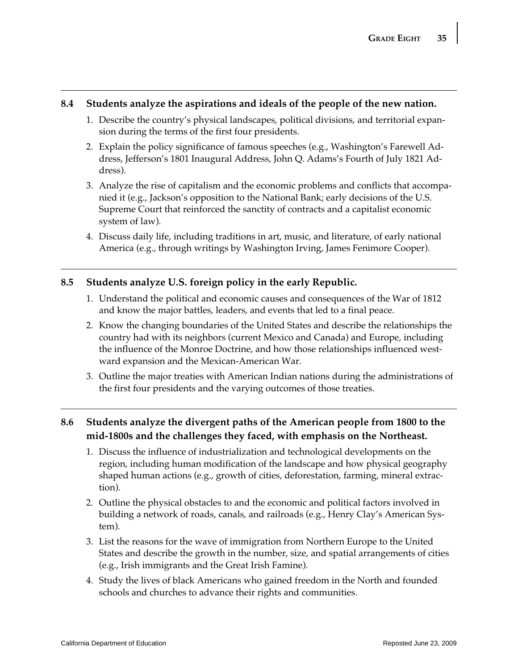#### **8.4 Students analyze the aspirations and ideals of the people of the new nation.**

- 1. Describe the country's physical landscapes, political divisions, and territorial expansion during the terms of the first four presidents.
- 2. Explain the policy significance of famous speeches (e.g., Washington's Farewell Address, Jefferson's 1801 Inaugural Address, John Q. Adams's Fourth of July 1821 Address).
- 3. Analyze the rise of capitalism and the economic problems and conflicts that accompanied it (e.g., Jackson's opposition to the National Bank; early decisions of the U.S. Supreme Court that reinforced the sanctity of contracts and a capitalist economic system of law).
- 4. Discuss daily life, including traditions in art, music, and literature, of early national America (e.g., through writings by Washington Irving, James Fenimore Cooper).

## **8.5 Students analyze U.S. foreign policy in the early Republic.**

- 1. Understand the political and economic causes and consequences of the War of 1812 and know the major battles, leaders, and events that led to a final peace.
- 2. Know the changing boundaries of the United States and describe the relationships the country had with its neighbors (current Mexico and Canada) and Europe, including the influence of the Monroe Doctrine, and how those relationships influenced westward expansion and the Mexican-American War.
- 3. Outline the major treaties with American Indian nations during the administrations of the first four presidents and the varying outcomes of those treaties.

## **8.6 Students analyze the divergent paths of the American people from 1800 to the mid-1800s and the challenges they faced, with emphasis on the Northeast.**

- 1. Discuss the influence of industrialization and technological developments on the region, including human modification of the landscape and how physical geography shaped human actions (e.g., growth of cities, deforestation, farming, mineral extraction).
- 2. Outline the physical obstacles to and the economic and political factors involved in building a network of roads, canals, and railroads (e.g., Henry Clay's American System).
- 3. List the reasons for the wave of immigration from Northern Europe to the United States and describe the growth in the number, size, and spatial arrangements of cities (e.g., Irish immigrants and the Great Irish Famine).
- 4. Study the lives of black Americans who gained freedom in the North and founded schools and churches to advance their rights and communities.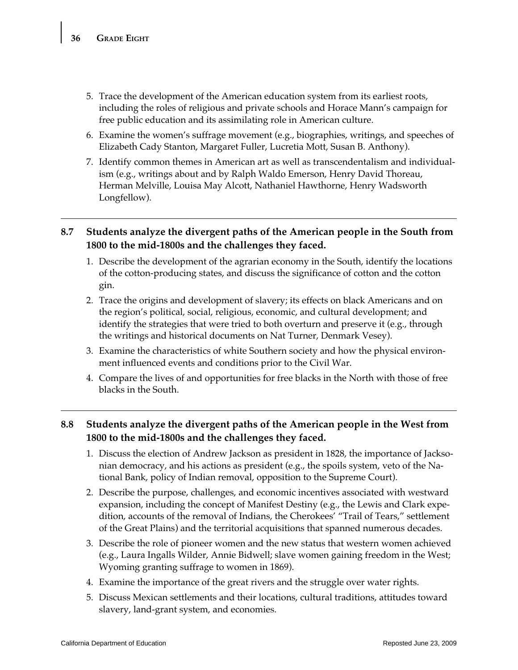- 5. Trace the development of the American education system from its earliest roots, including the roles of religious and private schools and Horace Mann's campaign for free public education and its assimilating role in American culture.
- 6. Examine the women's suffrage movement (e.g., biographies, writings, and speeches of Elizabeth Cady Stanton, Margaret Fuller, Lucretia Mott, Susan B. Anthony).
- 7. Identify common themes in American art as well as transcendentalism and individualism (e.g., writings about and by Ralph Waldo Emerson, Henry David Thoreau, Herman Melville, Louisa May Alcott, Nathaniel Hawthorne, Henry Wadsworth Longfellow).

## **8.7 Students analyze the divergent paths of the American people in the South from 1800 to the mid-1800s and the challenges they faced.**

- 1. Describe the development of the agrarian economy in the South, identify the locations of the cotton-producing states, and discuss the significance of cotton and the cotton gin.
- 2. Trace the origins and development of slavery; its effects on black Americans and on the region's political, social, religious, economic, and cultural development; and identify the strategies that were tried to both overturn and preserve it (e.g., through the writings and historical documents on Nat Turner, Denmark Vesey).
- 3. Examine the characteristics of white Southern society and how the physical environment influenced events and conditions prior to the Civil War.
- 4. Compare the lives of and opportunities for free blacks in the North with those of free blacks in the South.

## **8.8 Students analyze the divergent paths of the American people in the West from 1800 to the mid-1800s and the challenges they faced.**

- 1. Discuss the election of Andrew Jackson as president in 1828, the importance of Jacksonian democracy, and his actions as president (e.g., the spoils system, veto of the National Bank, policy of Indian removal, opposition to the Supreme Court).
- 2. Describe the purpose, challenges, and economic incentives associated with westward expansion, including the concept of Manifest Destiny (e.g., the Lewis and Clark expedition, accounts of the removal of Indians, the Cherokees' "Trail of Tears," settlement of the Great Plains) and the territorial acquisitions that spanned numerous decades.
- 3. Describe the role of pioneer women and the new status that western women achieved (e.g., Laura Ingalls Wilder, Annie Bidwell; slave women gaining freedom in the West; Wyoming granting suffrage to women in 1869).
- 4. Examine the importance of the great rivers and the struggle over water rights.
- 5. Discuss Mexican settlements and their locations, cultural traditions, attitudes toward slavery, land-grant system, and economies.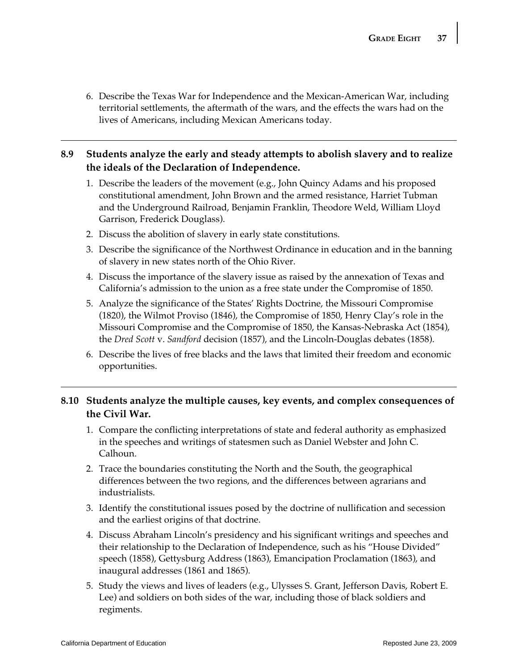6. Describe the Texas War for Independence and the Mexican-American War, including territorial settlements, the aftermath of the wars, and the effects the wars had on the lives of Americans, including Mexican Americans today.

## **8.9 Students analyze the early and steady attempts to abolish slavery and to realize the ideals of the Declaration of Independence.**

- 1. Describe the leaders of the movement (e.g., John Quincy Adams and his proposed constitutional amendment, John Brown and the armed resistance, Harriet Tubman and the Underground Railroad, Benjamin Franklin, Theodore Weld, William Lloyd Garrison, Frederick Douglass).
- 2. Discuss the abolition of slavery in early state constitutions.
- 3. Describe the significance of the Northwest Ordinance in education and in the banning of slavery in new states north of the Ohio River.
- 4. Discuss the importance of the slavery issue as raised by the annexation of Texas and California's admission to the union as a free state under the Compromise of 1850.
- 5. Analyze the significance of the States' Rights Doctrine, the Missouri Compromise (1820), the Wilmot Proviso (1846), the Compromise of 1850, Henry Clay's role in the Missouri Compromise and the Compromise of 1850, the Kansas-Nebraska Act (1854), the *Dred Scott* v. *Sandford* decision (1857), and the Lincoln-Douglas debates (1858).
- 6. Describe the lives of free blacks and the laws that limited their freedom and economic opportunities.

## **8.10 Students analyze the multiple causes, key events, and complex consequences of the Civil War.**

- 1. Compare the conflicting interpretations of state and federal authority as emphasized in the speeches and writings of statesmen such as Daniel Webster and John C. Calhoun.
- 2. Trace the boundaries constituting the North and the South, the geographical differences between the two regions, and the differences between agrarians and industrialists.
- 3. Identify the constitutional issues posed by the doctrine of nullification and secession and the earliest origins of that doctrine.
- 4. Discuss Abraham Lincoln's presidency and his significant writings and speeches and their relationship to the Declaration of Independence, such as his "House Divided" speech (1858), Gettysburg Address (1863), Emancipation Proclamation (1863), and inaugural addresses (1861 and 1865).
- 5. Study the views and lives of leaders (e.g., Ulysses S. Grant, Jefferson Davis, Robert E. Lee) and soldiers on both sides of the war, including those of black soldiers and regiments.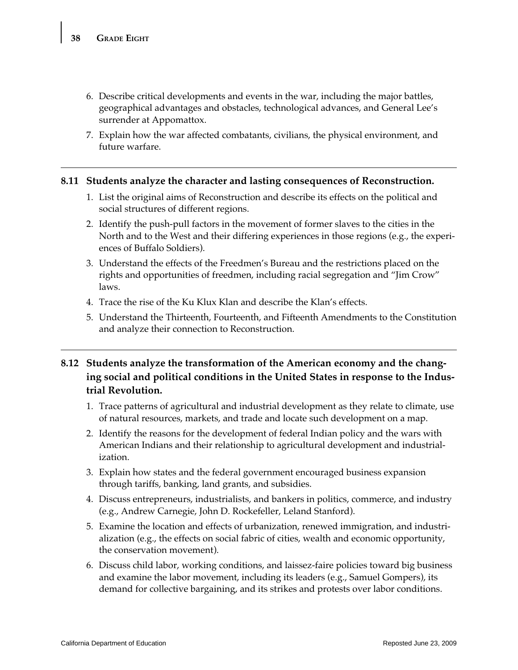- 6. Describe critical developments and events in the war, including the major battles, geographical advantages and obstacles, technological advances, and General Lee's surrender at Appomattox.
- 7. Explain how the war affected combatants, civilians, the physical environment, and future warfare.

#### **8.11 Students analyze the character and lasting consequences of Reconstruction.**

- 1. List the original aims of Reconstruction and describe its effects on the political and social structures of different regions.
- 2. Identify the push-pull factors in the movement of former slaves to the cities in the North and to the West and their differing experiences in those regions (e.g., the experiences of Buffalo Soldiers).
- 3. Understand the effects of the Freedmen's Bureau and the restrictions placed on the rights and opportunities of freedmen, including racial segregation and "Jim Crow" laws.
- 4. Trace the rise of the Ku Klux Klan and describe the Klan's effects.
- 5. Understand the Thirteenth, Fourteenth, and Fifteenth Amendments to the Constitution and analyze their connection to Reconstruction.

## **8.12 Students analyze the transformation of the American economy and the changing social and political conditions in the United States in response to the Industrial Revolution.**

- 1. Trace patterns of agricultural and industrial development as they relate to climate, use of natural resources, markets, and trade and locate such development on a map.
- 2. Identify the reasons for the development of federal Indian policy and the wars with American Indians and their relationship to agricultural development and industrialization.
- 3. Explain how states and the federal government encouraged business expansion through tariffs, banking, land grants, and subsidies.
- 4. Discuss entrepreneurs, industrialists, and bankers in politics, commerce, and industry (e.g., Andrew Carnegie, John D. Rockefeller, Leland Stanford).
- 5. Examine the location and effects of urbanization, renewed immigration, and industrialization (e.g., the effects on social fabric of cities, wealth and economic opportunity, the conservation movement).
- 6. Discuss child labor, working conditions, and laissez-faire policies toward big business and examine the labor movement, including its leaders (e.g., Samuel Gompers), its demand for collective bargaining, and its strikes and protests over labor conditions.